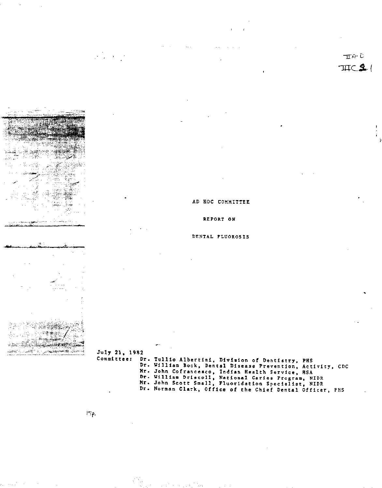$Jufy 21, 1982$ Committee: Dr. Tullio Albertini, Division of Dentistry, PHS Mr. John Cofrancesco, Indian Health Service, HSA Dr. William Driscoll, National Caries Program, NIDP Mr. John Scott Small, Fluoridation Specialist, NIDR

 $\mathbb{F} \mathfrak{p}_r$ 

is dels

م ا<sup>ن</sup>ھیں <sub>ا</sub>ن موضوع

 $T \cap C$ 

TITC  $2$ , I

# AD HOC COMMITTEE

REPORT ON

#### DENTAL FLUOROSIS

Dr. William Bock, Dental Disease Prevention, Activity, CDC Dr. Norman Clark, Office of the Chief Dental Officer, PHS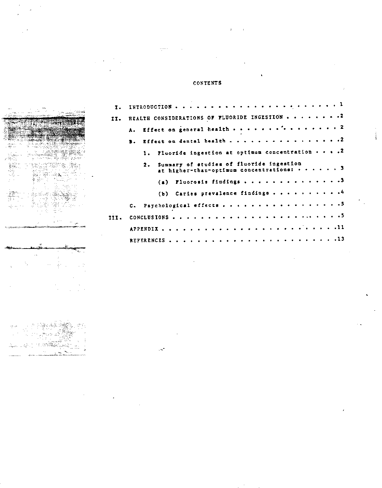# CONTENTS

 $,\dots$  .

. . е<sup>.</sup>

| II. REALTH CONSIDERATIONS OF FLUORIDE INGESTION 2 |                                        |                                                           |                                          |  |  |  |  |  |  |  |  |  |  |  |  |  |  |
|---------------------------------------------------|----------------------------------------|-----------------------------------------------------------|------------------------------------------|--|--|--|--|--|--|--|--|--|--|--|--|--|--|
|                                                   | A. Effect on general health $\cdots$ 2 |                                                           |                                          |  |  |  |  |  |  |  |  |  |  |  |  |  |  |
|                                                   | B. Effect on dental health 2           |                                                           |                                          |  |  |  |  |  |  |  |  |  |  |  |  |  |  |
|                                                   |                                        | 1. Pluoride ingestion at optimum concentration $\cdots$ . |                                          |  |  |  |  |  |  |  |  |  |  |  |  |  |  |
|                                                   |                                        | 2. Summary of studies of fluoride ingestion               | at higher-than-optimum concentrations: 3 |  |  |  |  |  |  |  |  |  |  |  |  |  |  |
|                                                   |                                        |                                                           | (a) Fluorosis findings 3                 |  |  |  |  |  |  |  |  |  |  |  |  |  |  |
|                                                   |                                        |                                                           | (b) Caries prevalence findings 4         |  |  |  |  |  |  |  |  |  |  |  |  |  |  |
|                                                   | C. Psychological effects 3             |                                                           |                                          |  |  |  |  |  |  |  |  |  |  |  |  |  |  |
| III.                                              |                                        |                                                           |                                          |  |  |  |  |  |  |  |  |  |  |  |  |  |  |
|                                                   |                                        |                                                           |                                          |  |  |  |  |  |  |  |  |  |  |  |  |  |  |
|                                                   |                                        |                                                           |                                          |  |  |  |  |  |  |  |  |  |  |  |  |  |  |

 $\frac{1}{4}$ 

 $\bar{\mathcal{L}}$  .  $\tilde{Q}^{(1)}$ 

Ïа.  $\frac{1}{2}$  Vikar

Let 1980 also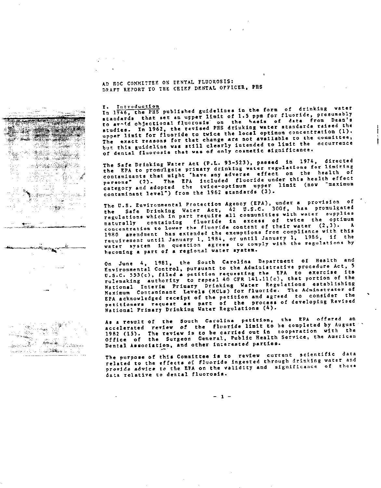AD HOC COMMITTEE ON DENTAL PLUOROSIS: DRAFT REPORT TO THE CHIEF DENTAL OFFICER, PHS

**SECTION** 

an was

I. Introduction<br>In 1946, the PRS published guidelines in the form of drinking water standards that set an upper limit of 1.5 ppm for fluoride, presumably to avoid objectional fluorosis on the basis of data from Dean's studies. In 1962, the revised PRS driuking water standards raised the upper limit for fluoride to twice the local optimum concentration (1). The exact reasons for that change are not available to the committee, but this guideline was still clearly intended to limit the occurrence of dental fluorosis that was of only cosmetic significance.

The Safe Drinking Water Act (P.L. 93-523), passed in 1974, directed the EPA to promulgate primary drinking water regulations for limiting contaminants that might "have any adverse effect on the health of personsw (2). The EPA included fluoride under this health effect .<br>category and adopted the twice-optimum upper limit (now waximum contaminant level") from the 1962 standards (3).

The u.s. Environmental Protection Agency (EPA), under a provision of the Safe Drinking Water Act, 42 U.S.C. 300f, has promulgate regulations which in part require all communities with water supplies naturally containing fluoride in excess of twice the optimum<br>maturally containing fluoride in excess of twice the optimum concentration to lower the fluoride content of their water (2,3). A 19RO amendment has extended the exemptions from compliance with this requirement until January I, 1984, or until January I, 1986, if the water system in question agrees to comply with the regulations by hecoming a part of a regional water system.

On June 4, 1981, the South Carolina Department of Health and Environmental Control, pursuant to the Administrative procedure Act, 5 U.S.C. 553(c), filed a petition requesting the EPA to exercise its rulemaking authority to repeal 40 CFR 141.11(c), that portion of the National Interim Primary Drinking Water Regulations establishing Maximum Contaminant Levels (HCLa) for fluoride. The Adminstrator of EFA acknowledged receipt of the petition and agreed to consider the petitioners request as part of the process of developing Revise National Primary Drinking Water Regulations (4).

As a rewult of the South Carolina petition, the EPA offered an accelerated review of the fluoride limit to be completed by August 1982 (15). The review is to be carried out in cooperation with the Office of the Surgeon General, Public Health Service, the American Dental Association, and other interested parties.

The purpose of this Committee is to review current scientific data related to the effects of fluoride ingested through drinking water and provide advice to the EPA on the validity and significance of these data relative to dental fluorosis.

 $\mathcal{L}(\mathbb{R}^n)$ · 激励论论 - સુવેલેનું Stania (Stanija) pri se u I. 1911)<br>1920 ti e sti - 1 ੇ<del>\</del>  $-16.5$ 9 (ar ○議論へ



- 1 -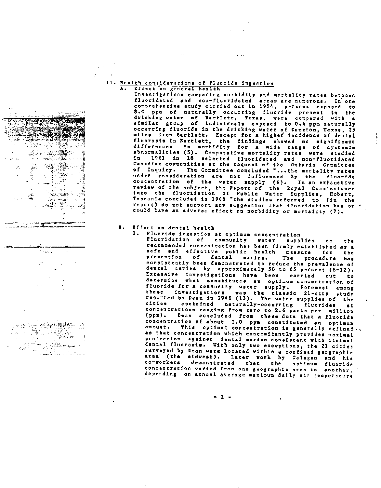### II. Health considerations of fluoride ingestion Effect on general health

**Contractor** 

Investigations comparing morbidity and mortality rates between fluoridated and non-fluoridated areas are numerous. In one comprehensive study carried out in 1954. persons exposed to 8.0 ppm of naturally occurring fluoride present in the drinking ~ater of Bartlett. Texas. were compared with a similar group of individuals exposed to 0.4 ppm naturall occurring fluoride in the drinking water of Cameron. Texas. 25 miles from Bartlett. Except for a higher incidence of dentsl fluorosis in Bartlett. the findings showed no significsnt differences in morbidity for a wide range of systemi abnormalities (5). Comparative mortality rates were studie in 1961 in 18 selected fluoridated and non-fluoridated Canadian communities at the request of the Ontario Committee of Inquiry. The Committee concluded "...the mortality rates under consideration are not influenced by the fluoride concentration of the water aupply (6). In an exhaustive review of the subject. the Report of the Royal Commissioner into the fluoridation of Public Yater Supplies. Hobart. Tasmania concluded in 1968 ·the studies referred to (in the report) do not support any suggestion that fluoridation has or *<sup>d</sup>* could have an adverse effect on morbidity or mortality (7).

# B. Effect on dental health

**COLLAGE CONTROLLED CONTRACT** 

 $1.35 \times$ 

**在 PACT PACE DE COMPANY** 

San Maritim San<br>San San Tinggal

1. Fluoride ingestion at optimum concentration Fluoridation of community water supplies to the recommended concentration has been firmly established as a safe and effective public health measure for the prevention of dentsl caries. The procedure haa consistently been demonstrated to reduce the prevalence of dental caries by approximately 50 to 65 percent (8-12). Extensive investigation~ have been carried out to determine what constitutes an optimum-concentration-of fluoride for a community water supply. Poremost among these investigations was the classic 21-city study reported by Dean in 1946 (13). The water supplies of the citi@s contained naturally-occurring fluorides at concentrations ranging from zero to 2.6 parts per million (ppm). Dean concluded from these data that a fluoride concentration of about 1.0 ppm constituted an optimum amount. This optimal concentration is generally define as that concentration which concomitantly provides maximal protection against dental caries consistant with minimal dental fluorosis. With only two exceptions. the 21 cities surveyed by Dean were located within a confined geographic area (the midwest). Later work by Galagan and his co-workers demonstrated that the optimum fluorid concentration varied from one geographic area to another, depending on annual average maximum daily air temperature

- 2 -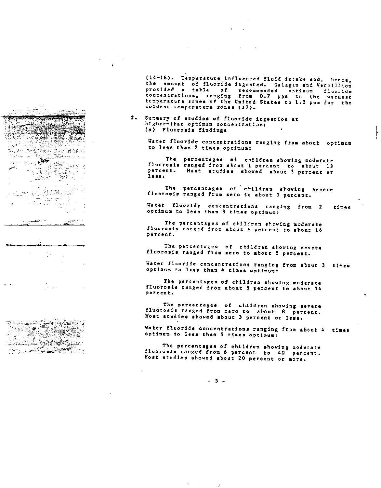(14-16). Temperature influenced fluid intake and, hence, the amount of fluoride ingested. Galagan and Vermillion

provided a table of recommended optimum fluorid concentrations, ranging from 0.7 ppm in the warmes temperature zones of the United States to 1.2 ppm for the coldest temperature zones (17).

2. Summary of studies of fluoride ingestion at higher-than optimum concentration: (4) Fluorosis findings

 $\pmb{\epsilon}$ 

Check the Post part  $\sim$  . The set of  $\sim$ 

 $\sim$ 

<u>en en de gr</u>

د.<br><del>دهن</del>س ر ್ಲಿಕ್ Water fluoride concentrations ranging from about optimum to less then 2 times optimum:

The percentages of children showing moderat fluorosis ranged from about 1 percent to about 13 percent. Host studies showed about 3 percent or less.

The percentages of children showing severe fluorosis ranged from zero to about 3 percent

Water fluoride concentrations ranging from 2 times optimum to less than 3 times optimum:

The percentages of children showing moderate fluorosis ranged from about 4 percent to about 16 percent.

The percentages of children showing severe fluorosis ranged from zero to about 5 percent.

Water fluoride concentrations ranging from about 3 times optimum to leaa than 4 times optimum:

The percentages of children showing moderate fluorosis ranged from about 5 percent to about 34 percent.

The percentages of children shoving severe fluorosis ranged from zero to about 8 percent. Most studies showed about 3 percent or less.

Water fluoride concentrations ranging from about 4 times optimum to less than *5* times optimum:

The percentages of children shoving moderate fluorosis ranged from 6 percent to 40 percent. Most studies showed about 20 percent or more.

 $-3 -$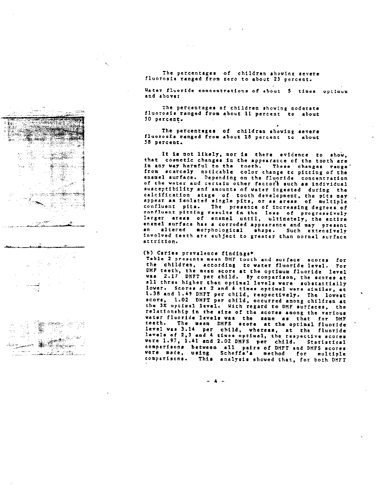

96. Q S.a  $\epsilon$  -  $\omega_{\rm{max}}$  , i.e., 

The percentages of children showing severe fluorosis ranged from zero to about 23 percent.

Water fluoride concentrations of about 5 times optimum and above:

The percentages of children showing moderate fluorosis ranged from about 11 percent to about 50 percent.

The percentages of children showing severe fluorosis ranged from about 18 percent to about 58 percent.

It is not likely, nor is there evidence to show. that cosmetic changes in the appearance or the tooth are In any way barmful to tbe tooth. These changes range from scarcely notlcaole color change to pitting of the enamel surface. Depending on the fluoride concentration of the water and certain other factors such as individual susceptibility and amounts of water Ingested during the calcification stage or tooth development. the pits may appear as isolated single pits. or as areas of multiple confluent pits. The presence of increasing degrees of confluent pitting results in the loss of progressive larger areas of enamel until. ultimately. the entire enamel surface hss a corroded appearance and may present an altered morphological shape. Such extensively involved teeth are subject to greater than normal surface attrition.

# (b) Caries prevalence findings\*

Table 2 presents mean DMF tooth and surface scores ror the children. according to water fluoride level. For DMF teeth. the mean score at the optimum fluoride level was 2.17 DMFT per child. By comparison. the scores at all three higher than optimal levels were substantially lower. Scores at 2 and 4 times optimal were similar, at 1.38 and 1.49 DMFT per child. respectively. The lowest score, 1.02 DMFT per child, occurred among children at the 3x optimal level. With regard to DMF surfaces. the relationship in the size or the scores among the various water fluoride levels was the same as that for DMF teeth. The mean DMFS score at the optimal fluoride level was 3.14 per child, whereas, at the fluorid levels of 2,3 and 4 times optimal, the respective score were 1.91. 1.41 and 2.02 DMFS per child. Statistical comparisons between all pairs of DMFT and DMFS scores were made, using Schefre'a method ror multiple comparisons. This analysis showed that. for both DMFT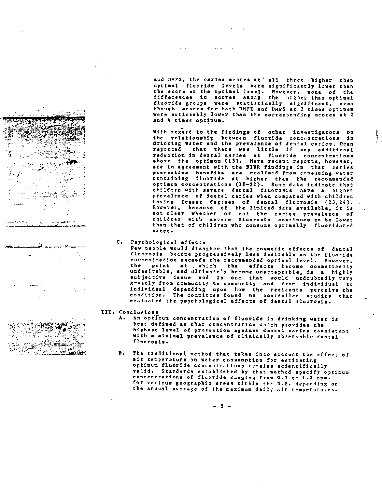and the state of the state

and DHFS, the caries scores at' all three higher than optimal fluoride levels were significantly lower than the acore at the optimal level. However. none of the differences in seore8 among the higher than optimal fluoride groups vere statistically significant. even though scorem for both DMFT and DMFS at 3 times optimum were noticeably lower than the eorresponding scores at 2 and 4 times optimum.

and the control

With regard to the findings of other investigators on the relationship between fluoride concentrations in drinking water and the prevalence of dental caries, Dean reported that there was little if any additional reduction in dental caries at fluoride concentratio above the optimum (13). More recent reports. however. are in agreement with the NIDR findings in that caries preventive benefits are realized from consuming water containing fluoride at higher than the recommende ~ptimum concentrations (18-22). Some data indicate that children with severe dental fluorosis have a higher prevalence of dental caries when compared with children having lesser degrees of dental fluorosis (23.24). However. because of the limited data available. it is not clear vhether or not the caries prevalence of children with severe fluorosis continues to be lower than that of children who consume optimally fluoridated vater.

c. Psychological effects

Few people would disagree that the cosmetie effects of dental fluorosis become progressively lesa desirable as the fluoride concentration exceeds the recommendec optimal level. However. tbe point at, which the effects become cosmetically undesirable. and ultimately become unacceptable. is a highly subjective issue and is one that would undoubtedly vary greatly from community to community and from individual to individual depending upon how the residents perceive the condition. Tbe committee found no eontrolled studies that evaluated the psychologieal effects of dental fluorosis.

- III. Conclusions
	- A. An optimum concentration of fluoride in drinking water is best defined as that concentration which provides the highest level of protection against dental caries consistent with a minimal prevalence of clinically observable dental fluorosis.
	- B. The traditional method that takes into account the effect of air temperature OD water eonsumption for estimating optimum fluoride concentrations remains scientifically valid. Standards established by that method specify optimum concentrations of fluoride ranging from 0.7 to 1.2 ppm. for various geographic areas within the U.S. depending on the annual average of the maximum daily air temperatures.



ida er .<br>.. . . *.* 

**Contract Contract State** 

المسترات والمتعود والمست

 $-5 -$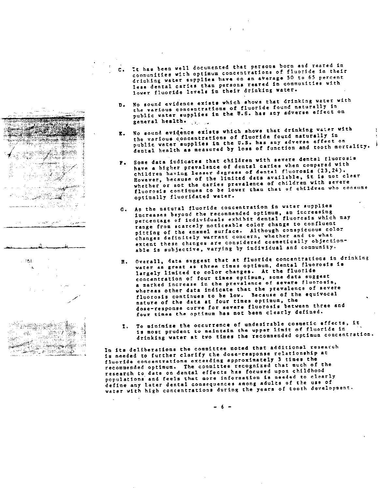- c. It has been well documented that persons born and reared in communities with optimum concentrations of fluoride in their drinking water supplies have on an average 50 to 65 percent less dental caries than persons reared in communities with lower fluoride levels in their drinking water.
- D. No sound evidence exists which shows that drinking water with the various concentrations of fluoride found naturally in public water supplies in the U.S. has any adverse effect on general health. , ,
- E. No sound evidence exists which shows that drinking water with tbe various concentrations of fluoride found naturally in public water supplies in the U.S. has any adverse effect on dental health as measured by loss of function and tooth mortality.
- Some data indicates that children with severe dental fluorosis have a higher prevalence of dental caries when compared with children having lesser degrees of dental fluorosis (23,24). However. because of the limited data available, it is not clear whether or not the caries prevalence of children with severe fluorosis continues to be lower than that of children who consume optimally fluoridated vater.
- G. As the natural fluoride concentration in water supplies increases beyond the recommended optimum, an increasing percentage of individuals exhibit dental fluorosis which may range from scarcely noticeable color change to confluent pitting of the enamel surface. Although conspicuous colo~ changes definitely warrant concern, whether and to what extent these changes are considered cosmetically objectionable is subjective, varying by individual and community.
- H. Overall, data suggest that at fluoride concentrations in drinking water as great as three times optimum, dental fluorosis is largely limited to color changes. At the fluoride concentration of four times optimum, some data suggest a marked increase in the prevalence of severe fluorosis, whereas other data indicate that the prevalence of severe fluorosis continues to be low. Because of the equivocal nature of the data at four times optimum, the dose-response curve for severe fluorosis between three and four times the optimum has not been clearly defined.
- I. To minimize the occurrence of undesirable cosmetic effects, it is most prudent to maintain the upper limit of fluoride in drinking water at two times tbe recommended optimum concentration.

In its deliberations the committee noted that additional research is needed to further clarify the dose-response relationship at fluoride concentrations exceeding approximately 3 times the recommended optimum. The committee recognized that much of the research to date on dental effects has focused upon childhood populations and feels that more information is needed to clearly define any later dental consequences among adults of the use of water with high concentrations during the years of tooth development.

.<br>Sedan .<br>⊷دن م⊿رين  $\sim 10^{11}$ ca les 7.5% Ĵ.



- 6 -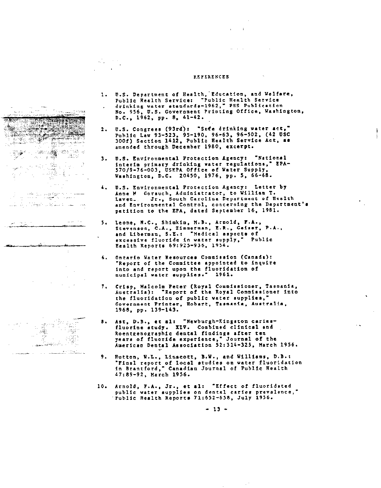#### REFERENCES

 $\mathcal{L}^{\text{c}}$  ,  $\mathcal{L}^{\text{c}}$  ,  $\mathcal{L}^{\text{c}}$ 

ti królozk - 1944 e di Partiti della Partiti della Partiti della Partiti della Partiti della Partiti della Partiti della Partit<br>Per della Partiti della Partiti della Partiti della Partiti della Partiti della Partiti della Partiti della Pa **SAN AREA** i stado ्या सम्पू<del>र्ण</del>  $\ddotsc$ 

 $\mathcal{L}_{\text{max}}$  , where

- لمنادر المقدرية سلأنها بالموهبات بالأربية الهابير
- 
- $\pm$
- $\sim 3$ Ž  $\sim$ and a string of the contract of the contract of the contract of the contract of the contract of the contract of the contract of the contract of the contract of the contract of the contract of the contract of the contract o a sa sa manair a Theor
- 1. U.S. Department of Health."Education, and Welfare. Public Realth Service: "Public Health Servic drinking water standards-1962," PHS Publicatio No. 956. U.S. Government Printing Office. Washington.  $D.C., 1962, pp. 8, 41-42.$
- 2. U.S. Congrees (93rd): "Safe drinking water act." Puhlic Law 93-523. 95-190. 96-63. 96-502. (42 use 300f) Section 1412, Public Health Service Act, as amended through December 1980, excerpt.
- 3. U.S. Environmental Protection Agency: "National interim primary drinking water regulations," EPA-570/9-76-003. USEPA Office of Water Supply. Washington, D.C. 20450, 1976, pp. 5, 66-68.
- 4. U.s. Environmental Protection Agency: Letter by Anne M. Gorsuch, Administrator, to William T. Laven\_ Jr., South Carolina Department of Health and Environmental Control, concerning the Department's petition to the EPA, dated September 16. 1981.
- 5. Leone, N.C., Shimkin, M.B •• Arnold, F.A., Stevenson, C.A., Zimmerman, E.R., Geiser, P.A., and Liberman, S.E.: "Medical aspects of excessive fluoride in water supply," Public Health Reports 69:925-936, 1954.
- 6. Ontario Water Resources Commission (Canada): "Report of the Committee appointed to inquire into and report upon the fluoridation of municipal water supplies.- 1961.
- 7. Crisp, Malcolm Peter (Royal Commissioner, Tasmania, Australia): PReport of the Royal Commissioner into the fluoridation of public vater supplies,' Government Printer. Hobart. Tasmania, Australia. 1968. pp. 139-143.
- 8. Ast, D.B., et al: "Newburgh-Kingston cariesfluorine study. XIV. Combined clinical and Roentgenographic dental findings after ten years of fluoride experience," Journal of the AmerlcaD Dental Association 52:314-325, March 1956.
- 9. Hutton, W.L., Linscott, B.W., and Williams, D.B.: "Final report of local studies on water fluoridatio in Brantford," Canadian Journal of Public Healt 47:89-92, March 1956.
- 10. Arnold, P.A., Jr., et al: -Effect of fluoridated public water supplies on dental caries prevalence," "Public Health Reports 11:652-658, July 1956.

- 13 -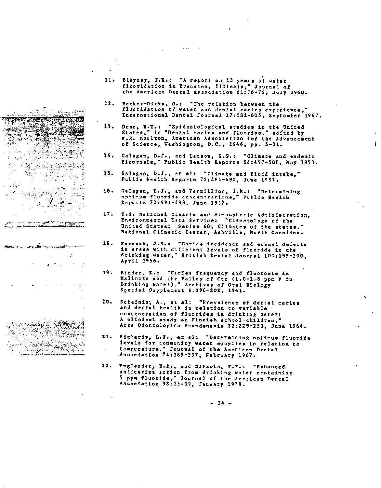



- 11. Blayney, J.R.: "A report on 13 years of water fluoridation in Evanston, Illinois," Journal of the American Dental Association 61:76-79, July 1960.
- 12. Backer-Dirks, O.: "The relation between the fluoridation of water and dental caries experience," International Dental Journal 17:582-605. September 1967.

,

- 13. Dean, H.T.: "Epidemiological studies in the United<br>States," in "Dental caries and fluorine," edited by F.R. Moulton, American Association for the Advancement of Science. Washington. D.C., 1946. pp. 3-31.
- 14. Galagan, D.J., and Lamson, G.G.: "Climate and endemic fluorosia," Public Health Reports 68:497-508. May 1953.
- 15. Galagan, D.J., et al: "Climate and fluid intake." Public Health Reports 72:484-490. June 1957.
- 16. Galagan, D.J., and Vermillion, J.R.: "Determining optimum fluoride concentr&tions.~ Public Health Reports 72:491-493. June 1957.
- 17. U.S. National Oceanic and Atmospheric Administration. Environmental Data Service: ~Climatology of the United States: Series 60; Climates of the states." National Climatic Center. Ashville. North Carolina.
- 18. Forrest. J.R.: -Caries incidence and enamel defects in areas with different levels of fluoride in the drinking water," British Dental Journal 100:195-200 April 1956.
- 19. Binder, K.: "Caries frequency and fluorosis in Mallnitz and the Valley of Otz (1.0-1.8 ppm F in Drinking water)," Archives of Oral Biology Special Supplement 6:198-202. 1961.
- 20. Scheinin, A., et al: "Prevalence of dental caries and dental health in relation to variable concentration of fluorides in drinking vater: A clinical study on Finnish school-children,' Acta Odontologica Scandanavia 22:229-251. June 1964.
- 21. Richards, L.F., et al: "Determining optimum fluoride levels for community vater supplies in relation to temperature," Journal of the American Dental Association 74:389-397. February 1961.
- 22. Englander, H.R., and DiPaola, P.F.: "Enhanced anticariea action from drinking water containing 5 ppm fluoride," Journal of the American Dental Association 98:35-39, January 1979.

 $-14 -$